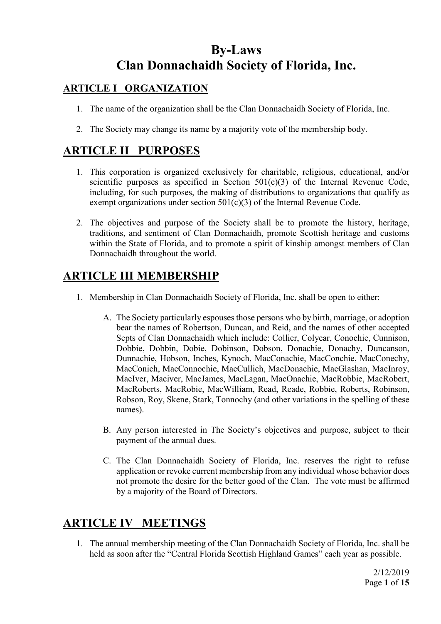# **By-Laws Clan Donnachaidh Society of Florida, Inc.**

### **ARTICLE I ORGANIZATION**

- 1. The name of the organization shall be the Clan Donnachaidh Society of Florida, Inc.
- 2. The Society may change its name by a majority vote of the membership body.

# **ARTICLE II PURPOSES**

- 1. This corporation is organized exclusively for charitable, religious, educational, and/or scientific purposes as specified in Section  $501(c)(3)$  of the Internal Revenue Code, including, for such purposes, the making of distributions to organizations that qualify as exempt organizations under section  $501(c)(3)$  of the Internal Revenue Code.
- 2. The objectives and purpose of the Society shall be to promote the history, heritage, traditions, and sentiment of Clan Donnachaidh, promote Scottish heritage and customs within the State of Florida, and to promote a spirit of kinship amongst members of Clan Donnachaidh throughout the world.

## **ARTICLE III MEMBERSHIP**

- 1. Membership in Clan Donnachaidh Society of Florida, Inc. shall be open to either:
	- A. The Society particularly espouses those persons who by birth, marriage, or adoption bear the names of Robertson, Duncan, and Reid, and the names of other accepted Septs of Clan Donnachaidh which include: Collier, Colyear, Conochie, Cunnison, Dobbie, Dobbin, Dobie, Dobinson, Dobson, Donachie, Donachy, Duncanson, Dunnachie, Hobson, Inches, Kynoch, MacConachie, MacConchie, MacConechy, MacConich, MacConnochie, MacCullich, MacDonachie, MacGlashan, MacInroy, MacIver, Maciver, MacJames, MacLagan, MacOnachie, MacRobbie, MacRobert, MacRoberts, MacRobie, MacWilliam, Read, Reade, Robbie, Roberts, Robinson, Robson, Roy, Skene, Stark, Tonnochy (and other variations in the spelling of these names).
	- B. Any person interested in The Society's objectives and purpose, subject to their payment of the annual dues.
	- C. The Clan Donnachaidh Society of Florida, Inc. reserves the right to refuse application or revoke current membership from any individual whose behavior does not promote the desire for the better good of the Clan. The vote must be affirmed by a majority of the Board of Directors.

# **ARTICLE IV MEETINGS**

1. The annual membership meeting of the Clan Donnachaidh Society of Florida, Inc. shall be held as soon after the "Central Florida Scottish Highland Games" each year as possible.

> 2/12/2019 Page **1** of **15**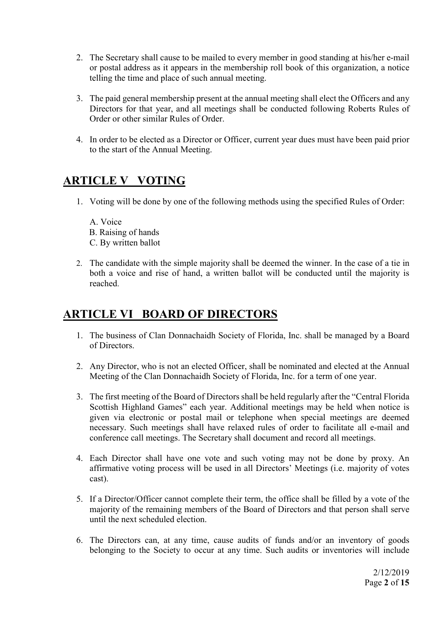- 2. The Secretary shall cause to be mailed to every member in good standing at his/her e-mail or postal address as it appears in the membership roll book of this organization, a notice telling the time and place of such annual meeting.
- 3. The paid general membership present at the annual meeting shall elect the Officers and any Directors for that year, and all meetings shall be conducted following Roberts Rules of Order or other similar Rules of Order.
- 4. In order to be elected as a Director or Officer, current year dues must have been paid prior to the start of the Annual Meeting.

# **ARTICLE V VOTING**

1. Voting will be done by one of the following methods using the specified Rules of Order:

A. Voice B. Raising of hands C. By written ballot

2. The candidate with the simple majority shall be deemed the winner. In the case of a tie in both a voice and rise of hand, a written ballot will be conducted until the majority is reached.

# **ARTICLE VI BOARD OF DIRECTORS**

- 1. The business of Clan Donnachaidh Society of Florida, Inc. shall be managed by a Board of Directors.
- 2. Any Director, who is not an elected Officer, shall be nominated and elected at the Annual Meeting of the Clan Donnachaidh Society of Florida, Inc. for a term of one year.
- 3. The first meeting of the Board of Directors shall be held regularly after the "Central Florida Scottish Highland Games" each year. Additional meetings may be held when notice is given via electronic or postal mail or telephone when special meetings are deemed necessary. Such meetings shall have relaxed rules of order to facilitate all e-mail and conference call meetings. The Secretary shall document and record all meetings.
- 4. Each Director shall have one vote and such voting may not be done by proxy. An affirmative voting process will be used in all Directors' Meetings (i.e. majority of votes cast).
- 5. If a Director/Officer cannot complete their term, the office shall be filled by a vote of the majority of the remaining members of the Board of Directors and that person shall serve until the next scheduled election.
- 6. The Directors can, at any time, cause audits of funds and/or an inventory of goods belonging to the Society to occur at any time. Such audits or inventories will include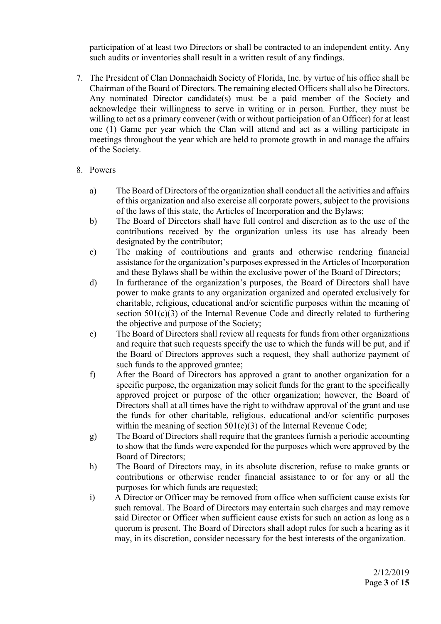participation of at least two Directors or shall be contracted to an independent entity. Any such audits or inventories shall result in a written result of any findings.

- 7. The President of Clan Donnachaidh Society of Florida, Inc. by virtue of his office shall be Chairman of the Board of Directors. The remaining elected Officers shall also be Directors. Any nominated Director candidate(s) must be a paid member of the Society and acknowledge their willingness to serve in writing or in person. Further, they must be willing to act as a primary convener (with or without participation of an Officer) for at least one (1) Game per year which the Clan will attend and act as a willing participate in meetings throughout the year which are held to promote growth in and manage the affairs of the Society.
- 8. Powers
	- a) The Board of Directors of the organization shall conduct all the activities and affairs of this organization and also exercise all corporate powers, subject to the provisions of the laws of this state, the Articles of Incorporation and the Bylaws;
	- b) The Board of Directors shall have full control and discretion as to the use of the contributions received by the organization unless its use has already been designated by the contributor;
	- c) The making of contributions and grants and otherwise rendering financial assistance for the organization's purposes expressed in the Articles of Incorporation and these Bylaws shall be within the exclusive power of the Board of Directors;
	- d) In furtherance of the organization's purposes, the Board of Directors shall have power to make grants to any organization organized and operated exclusively for charitable, religious, educational and/or scientific purposes within the meaning of section 501(c)(3) of the Internal Revenue Code and directly related to furthering the objective and purpose of the Society;
	- e) The Board of Directors shall review all requests for funds from other organizations and require that such requests specify the use to which the funds will be put, and if the Board of Directors approves such a request, they shall authorize payment of such funds to the approved grantee;
	- f) After the Board of Directors has approved a grant to another organization for a specific purpose, the organization may solicit funds for the grant to the specifically approved project or purpose of the other organization; however, the Board of Directors shall at all times have the right to withdraw approval of the grant and use the funds for other charitable, religious, educational and/or scientific purposes within the meaning of section  $501(c)(3)$  of the Internal Revenue Code;
	- g) The Board of Directors shall require that the grantees furnish a periodic accounting to show that the funds were expended for the purposes which were approved by the Board of Directors;
	- h) The Board of Directors may, in its absolute discretion, refuse to make grants or contributions or otherwise render financial assistance to or for any or all the purposes for which funds are requested;
	- i) A Director or Officer may be removed from office when sufficient cause exists for such removal. The Board of Directors may entertain such charges and may remove said Director or Officer when sufficient cause exists for such an action as long as a quorum is present. The Board of Directors shall adopt rules for such a hearing as it may, in its discretion, consider necessary for the best interests of the organization.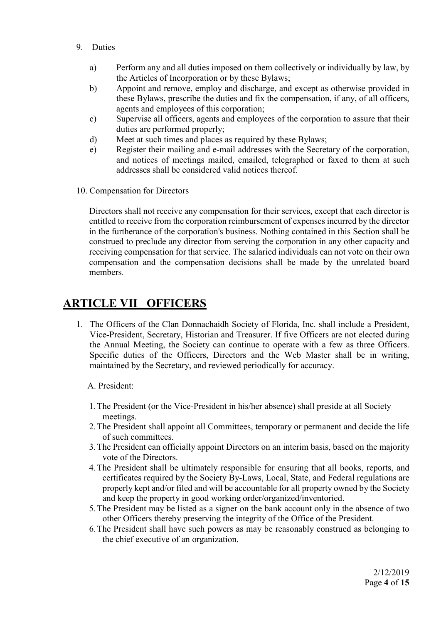- 9. Duties
	- a) Perform any and all duties imposed on them collectively or individually by law, by the Articles of Incorporation or by these Bylaws;
	- b) Appoint and remove, employ and discharge, and except as otherwise provided in these Bylaws, prescribe the duties and fix the compensation, if any, of all officers, agents and employees of this corporation;
	- c) Supervise all officers, agents and employees of the corporation to assure that their duties are performed properly;
	- d) Meet at such times and places as required by these Bylaws;
	- e) Register their mailing and e-mail addresses with the Secretary of the corporation, and notices of meetings mailed, emailed, telegraphed or faxed to them at such addresses shall be considered valid notices thereof.
- 10. Compensation for Directors

Directors shall not receive any compensation for their services, except that each director is entitled to receive from the corporation reimbursement of expenses incurred by the director in the furtherance of the corporation's business. Nothing contained in this Section shall be construed to preclude any director from serving the corporation in any other capacity and receiving compensation for that service. The salaried individuals can not vote on their own compensation and the compensation decisions shall be made by the unrelated board members.

### **ARTICLE VII OFFICERS**

1. The Officers of the Clan Donnachaidh Society of Florida, Inc. shall include a President, Vice-President, Secretary, Historian and Treasurer. If five Officers are not elected during the Annual Meeting, the Society can continue to operate with a few as three Officers. Specific duties of the Officers, Directors and the Web Master shall be in writing, maintained by the Secretary, and reviewed periodically for accuracy.

### A. President:

- 1.The President (or the Vice-President in his/her absence) shall preside at all Society meetings.
- 2.The President shall appoint all Committees, temporary or permanent and decide the life of such committees.
- 3.The President can officially appoint Directors on an interim basis, based on the majority vote of the Directors.
- 4.The President shall be ultimately responsible for ensuring that all books, reports, and certificates required by the Society By-Laws, Local, State, and Federal regulations are properly kept and/or filed and will be accountable for all property owned by the Society and keep the property in good working order/organized/inventoried.
- 5.The President may be listed as a signer on the bank account only in the absence of two other Officers thereby preserving the integrity of the Office of the President.
- 6.The President shall have such powers as may be reasonably construed as belonging to the chief executive of an organization.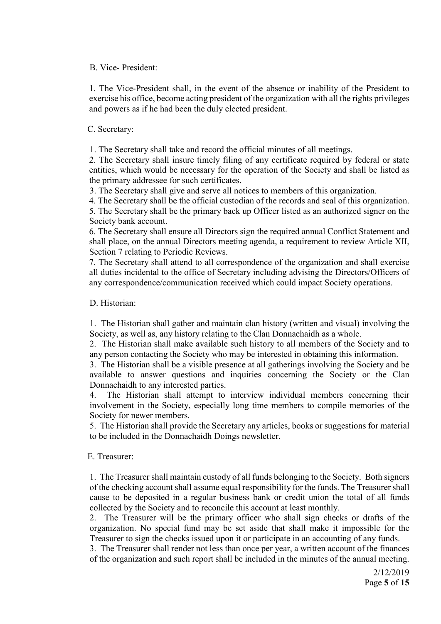#### B. Vice- President:

1. The Vice-President shall, in the event of the absence or inability of the President to exercise his office, become acting president of the organization with all the rights privileges and powers as if he had been the duly elected president.

#### C. Secretary:

1. The Secretary shall take and record the official minutes of all meetings.

2. The Secretary shall insure timely filing of any certificate required by federal or state entities, which would be necessary for the operation of the Society and shall be listed as the primary addressee for such certificates.

3. The Secretary shall give and serve all notices to members of this organization.

4. The Secretary shall be the official custodian of the records and seal of this organization.

5. The Secretary shall be the primary back up Officer listed as an authorized signer on the Society bank account.

6. The Secretary shall ensure all Directors sign the required annual Conflict Statement and shall place, on the annual Directors meeting agenda, a requirement to review Article XII, Section 7 relating to Periodic Reviews.

7. The Secretary shall attend to all correspondence of the organization and shall exercise all duties incidental to the office of Secretary including advising the Directors/Officers of any correspondence/communication received which could impact Society operations.

#### D. Historian:

1. The Historian shall gather and maintain clan history (written and visual) involving the Society, as well as, any history relating to the Clan Donnachaidh as a whole.

2. The Historian shall make available such history to all members of the Society and to any person contacting the Society who may be interested in obtaining this information.

3. The Historian shall be a visible presence at all gatherings involving the Society and be available to answer questions and inquiries concerning the Society or the Clan Donnachaidh to any interested parties.

4. The Historian shall attempt to interview individual members concerning their involvement in the Society, especially long time members to compile memories of the Society for newer members.

5. The Historian shall provide the Secretary any articles, books or suggestions for material to be included in the Donnachaidh Doings newsletter.

#### E. Treasurer:

1. The Treasurer shall maintain custody of all funds belonging to the Society. Both signers of the checking account shall assume equal responsibility for the funds. The Treasurer shall cause to be deposited in a regular business bank or credit union the total of all funds collected by the Society and to reconcile this account at least monthly.

2. The Treasurer will be the primary officer who shall sign checks or drafts of the organization. No special fund may be set aside that shall make it impossible for the Treasurer to sign the checks issued upon it or participate in an accounting of any funds.

3. The Treasurer shall render not less than once per year, a written account of the finances of the organization and such report shall be included in the minutes of the annual meeting.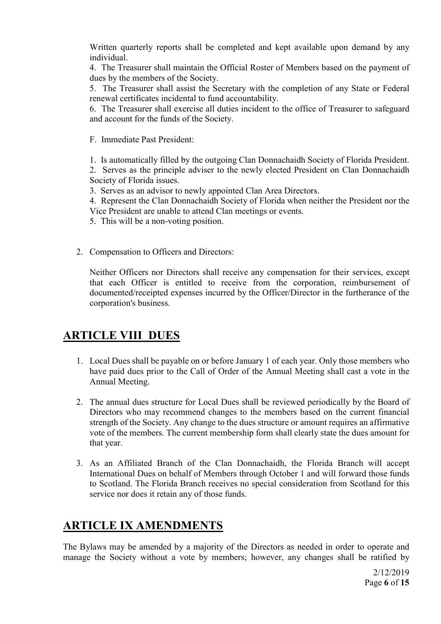Written quarterly reports shall be completed and kept available upon demand by any individual.

4. The Treasurer shall maintain the Official Roster of Members based on the payment of dues by the members of the Society.

5. The Treasurer shall assist the Secretary with the completion of any State or Federal renewal certificates incidental to fund accountability.

6. The Treasurer shall exercise all duties incident to the office of Treasurer to safeguard and account for the funds of the Society.

F. Immediate Past President:

1. Is automatically filled by the outgoing Clan Donnachaidh Society of Florida President.

2. Serves as the principle adviser to the newly elected President on Clan Donnachaidh Society of Florida issues.

3. Serves as an advisor to newly appointed Clan Area Directors.

4. Represent the Clan Donnachaidh Society of Florida when neither the President nor the Vice President are unable to attend Clan meetings or events.

5. This will be a non-voting position.

2. Compensation to Officers and Directors:

Neither Officers nor Directors shall receive any compensation for their services, except that each Officer is entitled to receive from the corporation, reimbursement of documented/receipted expenses incurred by the Officer/Director in the furtherance of the corporation's business.

## **ARTICLE VIII DUES**

- 1. Local Dues shall be payable on or before January 1 of each year. Only those members who have paid dues prior to the Call of Order of the Annual Meeting shall cast a vote in the Annual Meeting.
- 2. The annual dues structure for Local Dues shall be reviewed periodically by the Board of Directors who may recommend changes to the members based on the current financial strength of the Society. Any change to the dues structure or amount requires an affirmative vote of the members. The current membership form shall clearly state the dues amount for that year.
- 3. As an Affiliated Branch of the Clan Donnachaidh, the Florida Branch will accept International Dues on behalf of Members through October 1 and will forward those funds to Scotland. The Florida Branch receives no special consideration from Scotland for this service nor does it retain any of those funds.

## **ARTICLE IX AMENDMENTS**

The Bylaws may be amended by a majority of the Directors as needed in order to operate and manage the Society without a vote by members; however, any changes shall be ratified by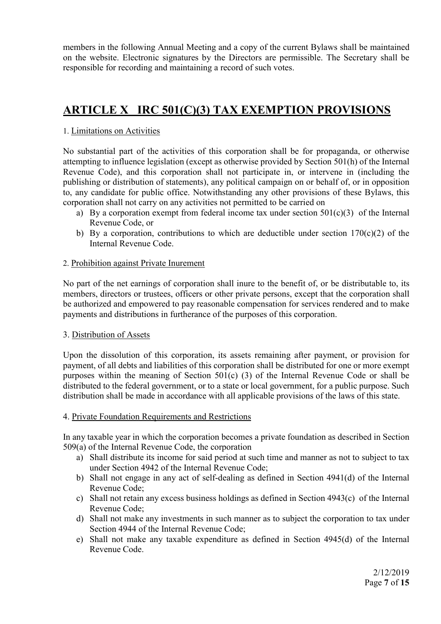members in the following Annual Meeting and a copy of the current Bylaws shall be maintained on the website. Electronic signatures by the Directors are permissible. The Secretary shall be responsible for recording and maintaining a record of such votes.

# **ARTICLE X IRC 501(C)(3) TAX EXEMPTION PROVISIONS**

### 1. Limitations on Activities

No substantial part of the activities of this corporation shall be for propaganda, or otherwise attempting to influence legislation (except as otherwise provided by Section 501(h) of the Internal Revenue Code), and this corporation shall not participate in, or intervene in (including the publishing or distribution of statements), any political campaign on or behalf of, or in opposition to, any candidate for public office. Notwithstanding any other provisions of these Bylaws, this corporation shall not carry on any activities not permitted to be carried on

- a) By a corporation exempt from federal income tax under section  $501(c)(3)$  of the Internal Revenue Code, or
- b) By a corporation, contributions to which are deductible under section  $170(c)(2)$  of the Internal Revenue Code.

#### 2. Prohibition against Private Inurement

No part of the net earnings of corporation shall inure to the benefit of, or be distributable to, its members, directors or trustees, officers or other private persons, except that the corporation shall be authorized and empowered to pay reasonable compensation for services rendered and to make payments and distributions in furtherance of the purposes of this corporation.

#### 3. Distribution of Assets

Upon the dissolution of this corporation, its assets remaining after payment, or provision for payment, of all debts and liabilities of this corporation shall be distributed for one or more exempt purposes within the meaning of Section 501(c) (3) of the Internal Revenue Code or shall be distributed to the federal government, or to a state or local government, for a public purpose. Such distribution shall be made in accordance with all applicable provisions of the laws of this state.

#### 4. Private Foundation Requirements and Restrictions

In any taxable year in which the corporation becomes a private foundation as described in Section 509(a) of the Internal Revenue Code, the corporation

- a) Shall distribute its income for said period at such time and manner as not to subject to tax under Section 4942 of the Internal Revenue Code;
- b) Shall not engage in any act of self-dealing as defined in Section 4941(d) of the Internal Revenue Code;
- c) Shall not retain any excess business holdings as defined in Section 4943(c) of the Internal Revenue Code;
- d) Shall not make any investments in such manner as to subject the corporation to tax under Section 4944 of the Internal Revenue Code;
- e) Shall not make any taxable expenditure as defined in Section 4945(d) of the Internal Revenue Code.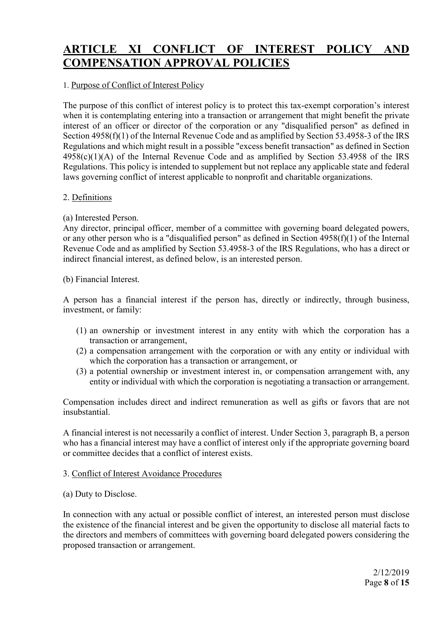# **ARTICLE XI CONFLICT OF INTEREST POLICY AND COMPENSATION APPROVAL POLICIES**

### 1. Purpose of Conflict of Interest Policy

The purpose of this conflict of interest policy is to protect this tax-exempt corporation's interest when it is contemplating entering into a transaction or arrangement that might benefit the private interest of an officer or director of the corporation or any "disqualified person" as defined in Section 4958(f)(1) of the Internal Revenue Code and as amplified by Section 53.4958-3 of the IRS Regulations and which might result in a possible "excess benefit transaction" as defined in Section  $4958(c)(1)(A)$  of the Internal Revenue Code and as amplified by Section 53.4958 of the IRS Regulations. This policy is intended to supplement but not replace any applicable state and federal laws governing conflict of interest applicable to nonprofit and charitable organizations.

#### 2. Definitions

#### (a) Interested Person.

Any director, principal officer, member of a committee with governing board delegated powers, or any other person who is a "disqualified person" as defined in Section 4958(f)(1) of the Internal Revenue Code and as amplified by Section 53.4958-3 of the IRS Regulations, who has a direct or indirect financial interest, as defined below, is an interested person.

(b) Financial Interest.

A person has a financial interest if the person has, directly or indirectly, through business, investment, or family:

- (1) an ownership or investment interest in any entity with which the corporation has a transaction or arrangement,
- (2) a compensation arrangement with the corporation or with any entity or individual with which the corporation has a transaction or arrangement, or
- (3) a potential ownership or investment interest in, or compensation arrangement with, any entity or individual with which the corporation is negotiating a transaction or arrangement.

Compensation includes direct and indirect remuneration as well as gifts or favors that are not insubstantial.

A financial interest is not necessarily a conflict of interest. Under Section 3, paragraph B, a person who has a financial interest may have a conflict of interest only if the appropriate governing board or committee decides that a conflict of interest exists.

#### 3. Conflict of Interest Avoidance Procedures

(a) Duty to Disclose.

In connection with any actual or possible conflict of interest, an interested person must disclose the existence of the financial interest and be given the opportunity to disclose all material facts to the directors and members of committees with governing board delegated powers considering the proposed transaction or arrangement.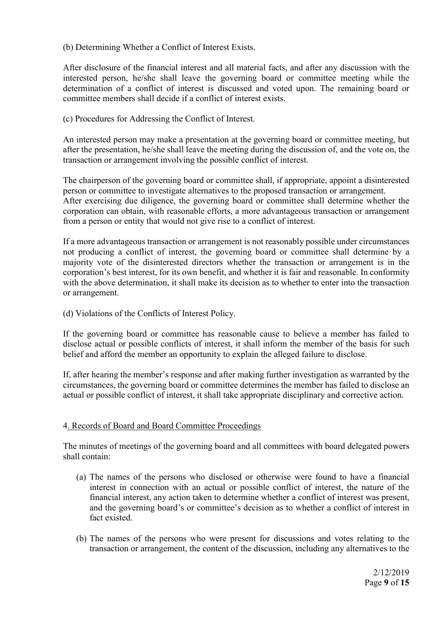(b) Determining Whether a Conflict of Interest Exists.

After disclosure of the financial interest and all material facts, and after any discussion with the interested person, he/she shall leave the governing board or committee meeting while the determination of a conflict of interest is discussed and voted upon. The remaining board or committee members shall decide if a conflict of interest exists.

(c) Procedures for Addressing the Conflict of Interest.

An interested person may make a presentation at the governing board or committee meeting, but after the presentation, he/she shall leave the meeting during the discussion of, and the vote on, the transaction or arrangement involving the possible conflict of interest.

The chairperson of the governing board or committee shall, if appropriate, appoint a disinterested person or committee to investigate alternatives to the proposed transaction or arrangement. After exercising due diligence, the governing board or committee shall determine whether the corporation can obtain, with reasonable efforts, a more advantageous transaction or arrangement from a person or entity that would not give rise to a conflict of interest.

If a more advantageous transaction or arrangement is not reasonably possible under circumstances not producing a conflict of interest, the governing board or committee shall determine by a majority vote of the disinterested directors whether the transaction or arrangement is in the corporation's best interest, for its own benefit, and whether it is fair and reasonable. In conformity with the above determination, it shall make its decision as to whether to enter into the transaction or arrangement.

(d) Violations of the Conflicts of Interest Policy.

If the governing board or committee has reasonable cause to believe a member has failed to disclose actual or possible conflicts of interest, it shall inform the member of the basis for such belief and afford the member an opportunity to explain the alleged failure to disclose.

If, after hearing the member's response and after making further investigation as warranted by the circumstances, the governing board or committee determines the member has failed to disclose an actual or possible conflict of interest, it shall take appropriate disciplinary and corrective action.

### 4. Records of Board and Board Committee Proceedings

The minutes of meetings of the governing board and all committees with board delegated powers shall contain:

- (a) The names of the persons who disclosed or otherwise were found to have a financial interest in connection with an actual or possible conflict of interest, the nature of the financial interest, any action taken to determine whether a conflict of interest was present, and the governing board's or committee's decision as to whether a conflict of interest in fact existed.
- (b) The names of the persons who were present for discussions and votes relating to the transaction or arrangement, the content of the discussion, including any alternatives to the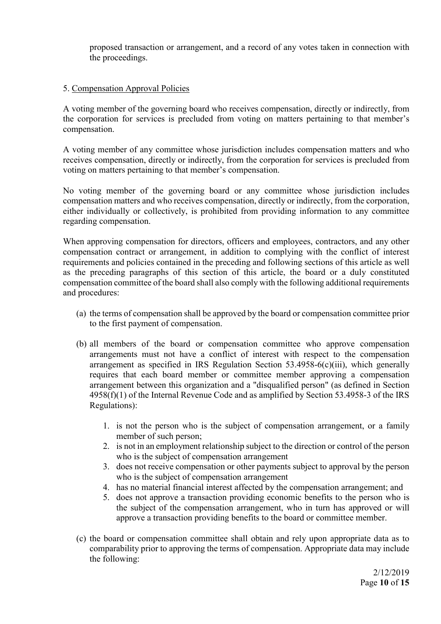proposed transaction or arrangement, and a record of any votes taken in connection with the proceedings.

#### 5. Compensation Approval Policies

A voting member of the governing board who receives compensation, directly or indirectly, from the corporation for services is precluded from voting on matters pertaining to that member's compensation.

A voting member of any committee whose jurisdiction includes compensation matters and who receives compensation, directly or indirectly, from the corporation for services is precluded from voting on matters pertaining to that member's compensation.

No voting member of the governing board or any committee whose jurisdiction includes compensation matters and who receives compensation, directly or indirectly, from the corporation, either individually or collectively, is prohibited from providing information to any committee regarding compensation.

When approving compensation for directors, officers and employees, contractors, and any other compensation contract or arrangement, in addition to complying with the conflict of interest requirements and policies contained in the preceding and following sections of this article as well as the preceding paragraphs of this section of this article, the board or a duly constituted compensation committee of the board shall also comply with the following additional requirements and procedures:

- (a) the terms of compensation shall be approved by the board or compensation committee prior to the first payment of compensation.
- (b) all members of the board or compensation committee who approve compensation arrangements must not have a conflict of interest with respect to the compensation arrangement as specified in IRS Regulation Section 53.4958-6(c)(iii), which generally requires that each board member or committee member approving a compensation arrangement between this organization and a "disqualified person" (as defined in Section 4958(f)(1) of the Internal Revenue Code and as amplified by Section 53.4958-3 of the IRS Regulations):
	- 1. is not the person who is the subject of compensation arrangement, or a family member of such person;
	- 2. is not in an employment relationship subject to the direction or control of the person who is the subject of compensation arrangement
	- 3. does not receive compensation or other payments subject to approval by the person who is the subject of compensation arrangement
	- 4. has no material financial interest affected by the compensation arrangement; and
	- 5. does not approve a transaction providing economic benefits to the person who is the subject of the compensation arrangement, who in turn has approved or will approve a transaction providing benefits to the board or committee member.
- (c) the board or compensation committee shall obtain and rely upon appropriate data as to comparability prior to approving the terms of compensation. Appropriate data may include the following: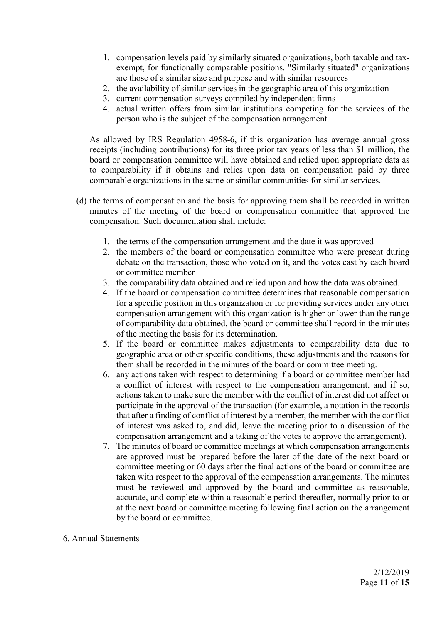- 1. compensation levels paid by similarly situated organizations, both taxable and taxexempt, for functionally comparable positions. "Similarly situated" organizations are those of a similar size and purpose and with similar resources
- 2. the availability of similar services in the geographic area of this organization
- 3. current compensation surveys compiled by independent firms
- 4. actual written offers from similar institutions competing for the services of the person who is the subject of the compensation arrangement.

As allowed by IRS Regulation 4958-6, if this organization has average annual gross receipts (including contributions) for its three prior tax years of less than \$1 million, the board or compensation committee will have obtained and relied upon appropriate data as to comparability if it obtains and relies upon data on compensation paid by three comparable organizations in the same or similar communities for similar services.

- (d) the terms of compensation and the basis for approving them shall be recorded in written minutes of the meeting of the board or compensation committee that approved the compensation. Such documentation shall include:
	- 1. the terms of the compensation arrangement and the date it was approved
	- 2. the members of the board or compensation committee who were present during debate on the transaction, those who voted on it, and the votes cast by each board or committee member
	- 3. the comparability data obtained and relied upon and how the data was obtained.
	- 4. If the board or compensation committee determines that reasonable compensation for a specific position in this organization or for providing services under any other compensation arrangement with this organization is higher or lower than the range of comparability data obtained, the board or committee shall record in the minutes of the meeting the basis for its determination.
	- 5. If the board or committee makes adjustments to comparability data due to geographic area or other specific conditions, these adjustments and the reasons for them shall be recorded in the minutes of the board or committee meeting.
	- 6. any actions taken with respect to determining if a board or committee member had a conflict of interest with respect to the compensation arrangement, and if so, actions taken to make sure the member with the conflict of interest did not affect or participate in the approval of the transaction (for example, a notation in the records that after a finding of conflict of interest by a member, the member with the conflict of interest was asked to, and did, leave the meeting prior to a discussion of the compensation arrangement and a taking of the votes to approve the arrangement).
	- 7. The minutes of board or committee meetings at which compensation arrangements are approved must be prepared before the later of the date of the next board or committee meeting or 60 days after the final actions of the board or committee are taken with respect to the approval of the compensation arrangements. The minutes must be reviewed and approved by the board and committee as reasonable, accurate, and complete within a reasonable period thereafter, normally prior to or at the next board or committee meeting following final action on the arrangement by the board or committee.

#### 6. Annual Statements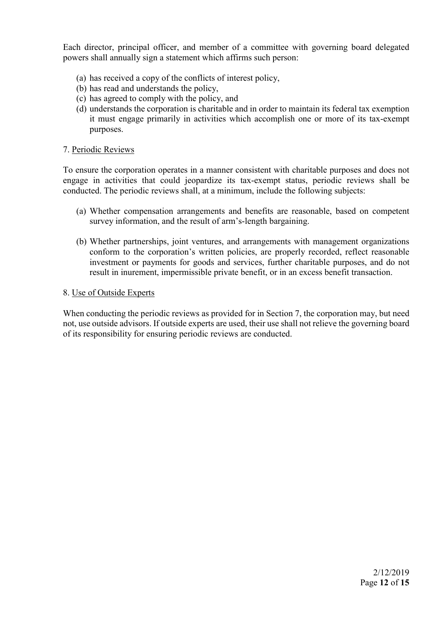Each director, principal officer, and member of a committee with governing board delegated powers shall annually sign a statement which affirms such person:

- (a) has received a copy of the conflicts of interest policy,
- (b) has read and understands the policy,
- (c) has agreed to comply with the policy, and
- (d) understands the corporation is charitable and in order to maintain its federal tax exemption it must engage primarily in activities which accomplish one or more of its tax-exempt purposes.

#### 7. Periodic Reviews

To ensure the corporation operates in a manner consistent with charitable purposes and does not engage in activities that could jeopardize its tax-exempt status, periodic reviews shall be conducted. The periodic reviews shall, at a minimum, include the following subjects:

- (a) Whether compensation arrangements and benefits are reasonable, based on competent survey information, and the result of arm's-length bargaining.
- (b) Whether partnerships, joint ventures, and arrangements with management organizations conform to the corporation's written policies, are properly recorded, reflect reasonable investment or payments for goods and services, further charitable purposes, and do not result in inurement, impermissible private benefit, or in an excess benefit transaction.

#### 8. Use of Outside Experts

When conducting the periodic reviews as provided for in Section 7, the corporation may, but need not, use outside advisors. If outside experts are used, their use shall not relieve the governing board of its responsibility for ensuring periodic reviews are conducted.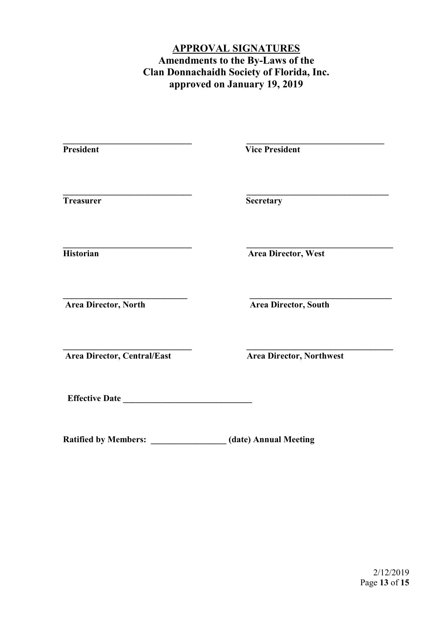### **APPROVAL SIGNATURES Amendments to the By-Laws of the Clan Donnachaidh Society of Florida, Inc. approved on January 19, 2019**

| President                          | <b>Vice President</b>           |
|------------------------------------|---------------------------------|
| <b>Treasurer</b>                   | Secretary                       |
| <b>Historian</b>                   | <b>Area Director, West</b>      |
| <b>Area Director, North</b>        | <b>Area Director, South</b>     |
| <b>Area Director, Central/East</b> | <b>Area Director, Northwest</b> |

 **Effective Date \_\_\_\_\_\_\_\_\_\_\_\_\_\_\_\_\_\_\_\_\_\_\_\_\_\_\_\_\_**

**Ratified by Members: \_\_\_\_\_\_\_\_\_\_\_\_\_\_\_\_\_ (date) Annual Meeting**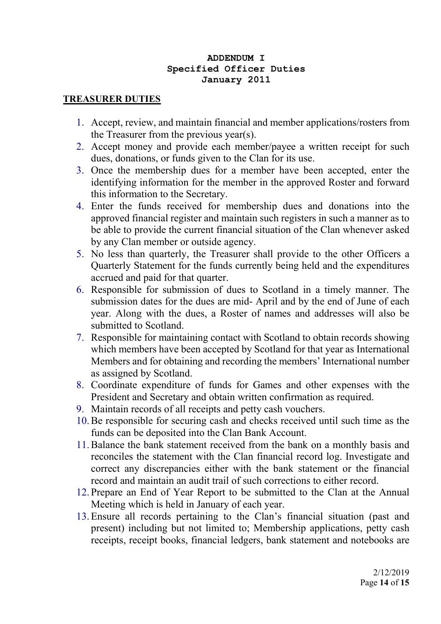### **ADDENDUM I Specified Officer Duties January 2011**

### **TREASURER DUTIES**

- 1. Accept, review, and maintain financial and member applications/rosters from the Treasurer from the previous year(s).
- 2. Accept money and provide each member/payee a written receipt for such dues, donations, or funds given to the Clan for its use.
- 3. Once the membership dues for a member have been accepted, enter the identifying information for the member in the approved Roster and forward this information to the Secretary.
- 4. Enter the funds received for membership dues and donations into the approved financial register and maintain such registers in such a manner as to be able to provide the current financial situation of the Clan whenever asked by any Clan member or outside agency.
- 5. No less than quarterly, the Treasurer shall provide to the other Officers a Quarterly Statement for the funds currently being held and the expenditures accrued and paid for that quarter.
- 6. Responsible for submission of dues to Scotland in a timely manner. The submission dates for the dues are mid- April and by the end of June of each year. Along with the dues, a Roster of names and addresses will also be submitted to Scotland.
- 7. Responsible for maintaining contact with Scotland to obtain records showing which members have been accepted by Scotland for that year as International Members and for obtaining and recording the members' International number as assigned by Scotland.
- 8. Coordinate expenditure of funds for Games and other expenses with the President and Secretary and obtain written confirmation as required.
- 9. Maintain records of all receipts and petty cash vouchers.
- 10.Be responsible for securing cash and checks received until such time as the funds can be deposited into the Clan Bank Account.
- 11.Balance the bank statement received from the bank on a monthly basis and reconciles the statement with the Clan financial record log. Investigate and correct any discrepancies either with the bank statement or the financial record and maintain an audit trail of such corrections to either record.
- 12. Prepare an End of Year Report to be submitted to the Clan at the Annual Meeting which is held in January of each year.
- 13.Ensure all records pertaining to the Clan's financial situation (past and present) including but not limited to; Membership applications, petty cash receipts, receipt books, financial ledgers, bank statement and notebooks are